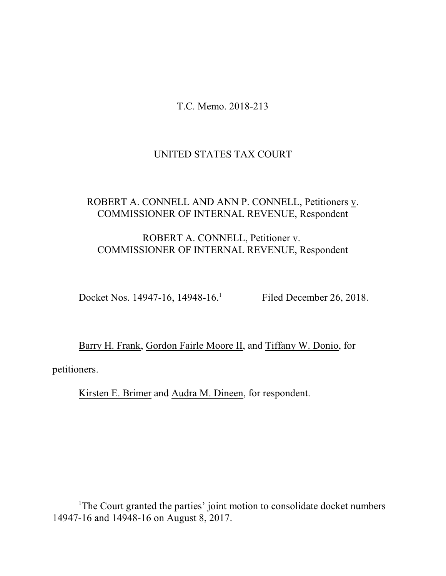T.C. Memo. 2018-213

# UNITED STATES TAX COURT

# ROBERT A. CONNELL AND ANN P. CONNELL, Petitioners v. COMMISSIONER OF INTERNAL REVENUE, Respondent

# ROBERT A. CONNELL, Petitioner v. COMMISSIONER OF INTERNAL REVENUE, Respondent

Docket Nos. 14947-16, 14948-16.

Filed December 26, 2018.

Barry H. Frank, Gordon Fairle Moore II, and Tiffany W. Donio, for petitioners.

Kirsten E. Brimer and Audra M. Dineen, for respondent.

<sup>&</sup>lt;sup>1</sup>The Court granted the parties' joint motion to consolidate docket numbers 14947-16 and 14948-16 on August 8, 2017.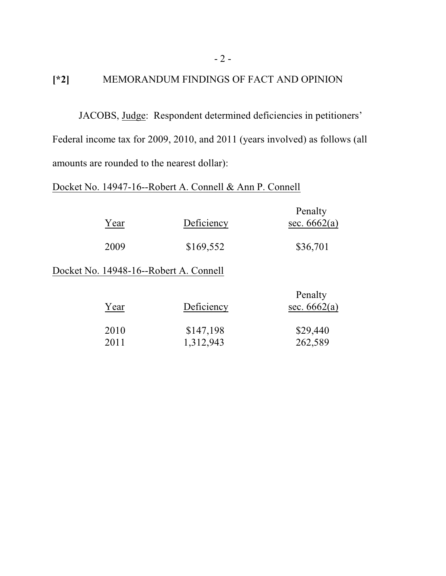# **[\*2]** MEMORANDUM FINDINGS OF FACT AND OPINION

JACOBS, Judge: Respondent determined deficiencies in petitioners' Federal income tax for 2009, 2010, and 2011 (years involved) as follows (all amounts are rounded to the nearest dollar):

# Docket No. 14947-16--Robert A. Connell & Ann P. Connell

| Year         | Deficiency                             | Penalty<br>sec. $6662(a)$ |
|--------------|----------------------------------------|---------------------------|
| 2009         | \$169,552                              | \$36,701                  |
|              | Docket No. 14948-16--Robert A. Connell |                           |
| Year         | Deficiency                             | Penalty<br>sec. $6662(a)$ |
| 2010<br>2011 | \$147,198<br>1,312,943                 | \$29,440<br>262,589       |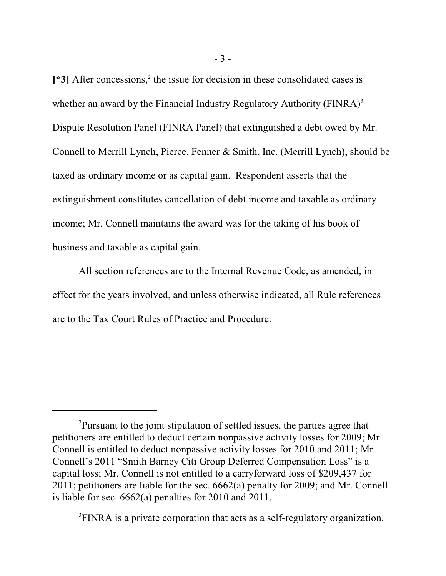[\*3] After concessions,<sup>2</sup> the issue for decision in these consolidated cases is whether an award by the Financial Industry Regulatory Authority ( $\text{FINRA}$ )<sup>3</sup> Dispute Resolution Panel (FINRA Panel) that extinguished a debt owed by Mr. Connell to Merrill Lynch, Pierce, Fenner & Smith, Inc. (Merrill Lynch), should be taxed as ordinary income or as capital gain. Respondent asserts that the extinguishment constitutes cancellation of debt income and taxable as ordinary income; Mr. Connell maintains the award was for the taking of his book of business and taxable as capital gain.

All section references are to the Internal Revenue Code, as amended, in effect for the years involved, and unless otherwise indicated, all Rule references are to the Tax Court Rules of Practice and Procedure.

<sup>3</sup>FINRA is a private corporation that acts as a self-regulatory organization.

<sup>2</sup>Pursuant to the joint stipulation of settled issues, the parties agree that petitioners are entitled to deduct certain nonpassive activity losses for 2009; Mr. Connell is entitled to deduct nonpassive activity losses for 2010 and 2011; Mr. Connell's 2011 "Smith Barney Citi Group Deferred Compensation Loss" is a capital loss; Mr. Connell is not entitled to a carryforward loss of \$209,437 for 2011; petitioners are liable for the sec. 6662(a) penalty for 2009; and Mr. Connell is liable for sec. 6662(a) penalties for 2010 and 2011.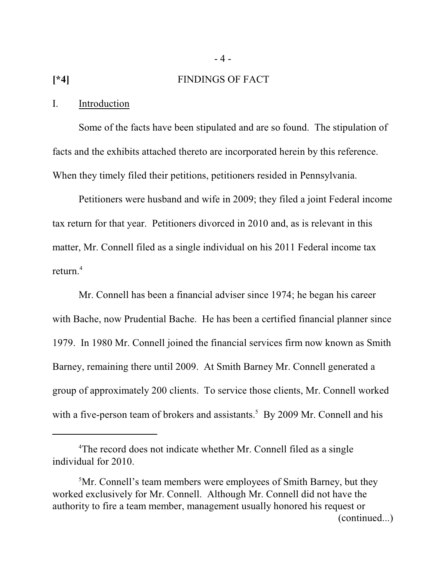### **[\*4]** FINDINGS OF FACT

- 4 -

### I. Introduction

Some of the facts have been stipulated and are so found. The stipulation of facts and the exhibits attached thereto are incorporated herein by this reference. When they timely filed their petitions, petitioners resided in Pennsylvania.

Petitioners were husband and wife in 2009; they filed a joint Federal income tax return for that year. Petitioners divorced in 2010 and, as is relevant in this matter, Mr. Connell filed as a single individual on his 2011 Federal income tax return. 4

Mr. Connell has been a financial adviser since 1974; he began his career with Bache, now Prudential Bache. He has been a certified financial planner since 1979. In 1980 Mr. Connell joined the financial services firm now known as Smith Barney, remaining there until 2009. At Smith Barney Mr. Connell generated a group of approximately 200 clients. To service those clients, Mr. Connell worked with a five-person team of brokers and assistants.<sup>5</sup> By 2009 Mr. Connell and his

<sup>4</sup>The record does not indicate whether Mr. Connell filed as a single individual for 2010.

<sup>5</sup>Mr. Connell's team members were employees of Smith Barney, but they worked exclusively for Mr. Connell. Although Mr. Connell did not have the authority to fire a team member, management usually honored his request or (continued...)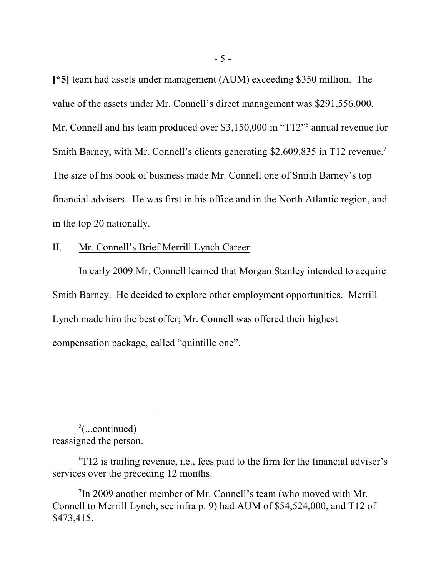**[\*5]** team had assets under management (AUM) exceeding \$350 million. The value of the assets under Mr. Connell's direct management was \$291,556,000. Mr. Connell and his team produced over \$3,150,000 in "T12" annual revenue for Smith Barney, with Mr. Connell's clients generating \$2,609,835 in T12 revenue.<sup>7</sup> The size of his book of business made Mr. Connell one of Smith Barney's top financial advisers. He was first in his office and in the North Atlantic region, and in the top 20 nationally.

# II. Mr. Connell's Brief Merrill Lynch Career

In early 2009 Mr. Connell learned that Morgan Stanley intended to acquire Smith Barney. He decided to explore other employment opportunities. Merrill Lynch made him the best offer; Mr. Connell was offered their highest compensation package, called "quintille one".

 $5$ (...continued) reassigned the person.

 $6T12$  is trailing revenue, i.e., fees paid to the firm for the financial adviser's services over the preceding 12 months.

<sup>7</sup> In 2009 another member of Mr. Connell's team (who moved with Mr. Connell to Merrill Lynch, see infra p. 9) had AUM of \$54,524,000, and T12 of \$473,415.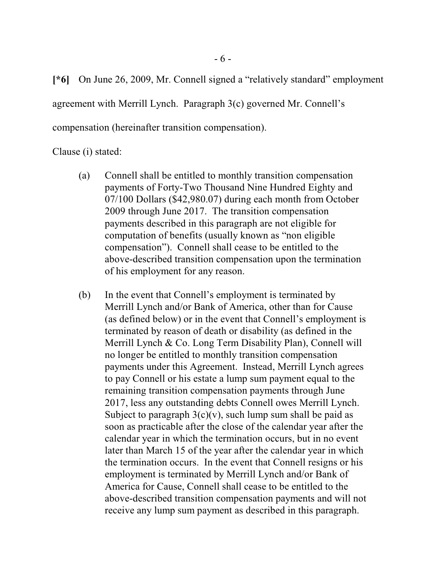**[\*6]** On June 26, 2009, Mr. Connell signed a "relatively standard" employment agreement with Merrill Lynch. Paragraph 3(c) governed Mr. Connell's compensation (hereinafter transition compensation).

Clause (i) stated:

- (a) Connell shall be entitled to monthly transition compensation payments of Forty-Two Thousand Nine Hundred Eighty and 07/100 Dollars (\$42,980.07) during each month from October 2009 through June 2017. The transition compensation payments described in this paragraph are not eligible for computation of benefits (usually known as "non eligible compensation"). Connell shall cease to be entitled to the above-described transition compensation upon the termination of his employment for any reason.
- (b) In the event that Connell's employment is terminated by Merrill Lynch and/or Bank of America, other than for Cause (as defined below) or in the event that Connell's employment is terminated by reason of death or disability (as defined in the Merrill Lynch & Co. Long Term Disability Plan), Connell will no longer be entitled to monthly transition compensation payments under this Agreement. Instead, Merrill Lynch agrees to pay Connell or his estate a lump sum payment equal to the remaining transition compensation payments through June 2017, less any outstanding debts Connell owes Merrill Lynch. Subject to paragraph  $3(c)(v)$ , such lump sum shall be paid as soon as practicable after the close of the calendar year after the calendar year in which the termination occurs, but in no event later than March 15 of the year after the calendar year in which the termination occurs. In the event that Connell resigns or his employment is terminated by Merrill Lynch and/or Bank of America for Cause, Connell shall cease to be entitled to the above-described transition compensation payments and will not receive any lump sum payment as described in this paragraph.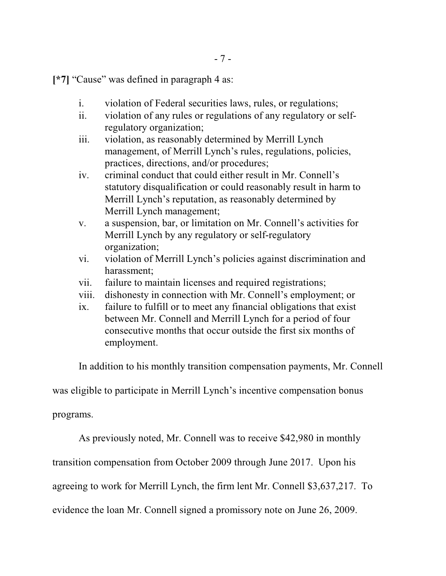- 7 -

**[\*7]** "Cause" was defined in paragraph 4 as:

- i. violation of Federal securities laws, rules, or regulations;
- ii. violation of any rules or regulations of any regulatory or selfregulatory organization;
- iii. violation, as reasonably determined by Merrill Lynch management, of Merrill Lynch's rules, regulations, policies, practices, directions, and/or procedures;
- iv. criminal conduct that could either result in Mr. Connell's statutory disqualification or could reasonably result in harm to Merrill Lynch's reputation, as reasonably determined by Merrill Lynch management;
- v. a suspension, bar, or limitation on Mr. Connell's activities for Merrill Lynch by any regulatory or self-regulatory organization;
- vi. violation of Merrill Lynch's policies against discrimination and harassment;
- vii. failure to maintain licenses and required registrations;
- viii. dishonesty in connection with Mr. Connell's employment; or
- ix. failure to fulfill or to meet any financial obligations that exist between Mr. Connell and Merrill Lynch for a period of four consecutive months that occur outside the first six months of employment.

In addition to his monthly transition compensation payments, Mr. Connell

was eligible to participate in Merrill Lynch's incentive compensation bonus

programs.

As previously noted, Mr. Connell was to receive \$42,980 in monthly

transition compensation from October 2009 through June 2017. Upon his

agreeing to work for Merrill Lynch, the firm lent Mr. Connell \$3,637,217. To

evidence the loan Mr. Connell signed a promissory note on June 26, 2009.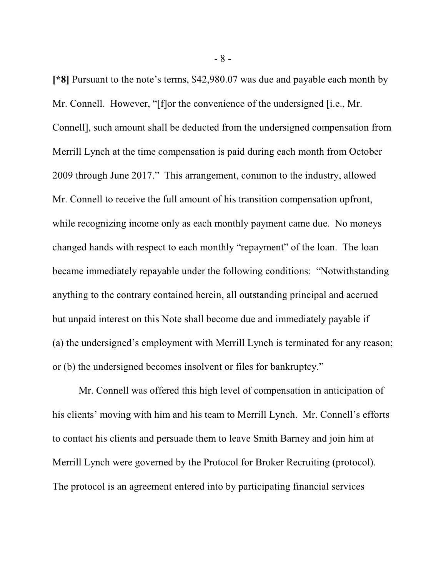**[\*8]** Pursuant to the note's terms, \$42,980.07 was due and payable each month by Mr. Connell. However, "[f]or the convenience of the undersigned [i.e., Mr. Connell], such amount shall be deducted from the undersigned compensation from Merrill Lynch at the time compensation is paid during each month from October 2009 through June 2017." This arrangement, common to the industry, allowed Mr. Connell to receive the full amount of his transition compensation upfront, while recognizing income only as each monthly payment came due. No moneys changed hands with respect to each monthly "repayment" of the loan. The loan became immediately repayable under the following conditions: "Notwithstanding anything to the contrary contained herein, all outstanding principal and accrued but unpaid interest on this Note shall become due and immediately payable if (a) the undersigned's employment with Merrill Lynch is terminated for any reason; or (b) the undersigned becomes insolvent or files for bankruptcy."

Mr. Connell was offered this high level of compensation in anticipation of his clients' moving with him and his team to Merrill Lynch. Mr. Connell's efforts to contact his clients and persuade them to leave Smith Barney and join him at Merrill Lynch were governed by the Protocol for Broker Recruiting (protocol). The protocol is an agreement entered into by participating financial services

- 8 -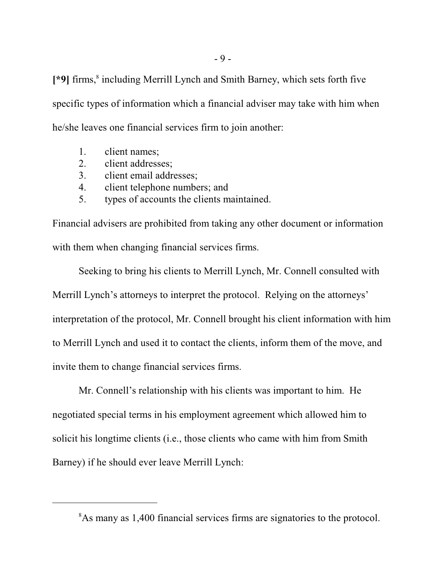**[\*9]** firms, 8 including Merrill Lynch and Smith Barney, which sets forth five specific types of information which a financial adviser may take with him when he/she leaves one financial services firm to join another:

- 1. client names;
- 2. client addresses;
- 3. client email addresses;
- 4. client telephone numbers; and
- 5. types of accounts the clients maintained.

Financial advisers are prohibited from taking any other document or information with them when changing financial services firms.

Seeking to bring his clients to Merrill Lynch, Mr. Connell consulted with Merrill Lynch's attorneys to interpret the protocol. Relying on the attorneys' interpretation of the protocol, Mr. Connell brought his client information with him to Merrill Lynch and used it to contact the clients, inform them of the move, and invite them to change financial services firms.

Mr. Connell's relationship with his clients was important to him. He negotiated special terms in his employment agreement which allowed him to solicit his longtime clients (i.e., those clients who came with him from Smith Barney) if he should ever leave Merrill Lynch:

<sup>&</sup>lt;sup>8</sup>As many as 1,400 financial services firms are signatories to the protocol.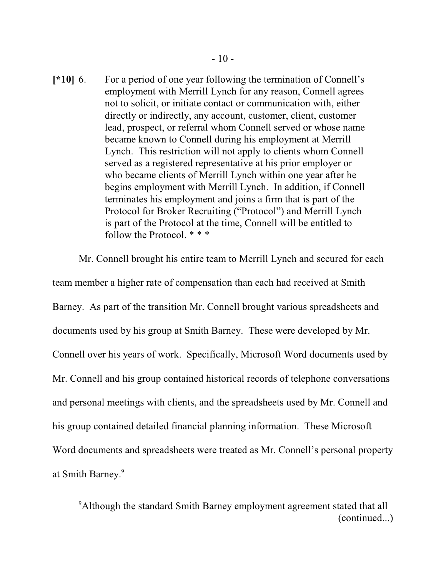**[\*10]** 6. For a period of one year following the termination of Connell's employment with Merrill Lynch for any reason, Connell agrees not to solicit, or initiate contact or communication with, either directly or indirectly, any account, customer, client, customer lead, prospect, or referral whom Connell served or whose name became known to Connell during his employment at Merrill Lynch. This restriction will not apply to clients whom Connell served as a registered representative at his prior employer or who became clients of Merrill Lynch within one year after he begins employment with Merrill Lynch. In addition, if Connell terminates his employment and joins a firm that is part of the Protocol for Broker Recruiting ("Protocol") and Merrill Lynch is part of the Protocol at the time, Connell will be entitled to follow the Protocol. \* \* \*

Mr. Connell brought his entire team to Merrill Lynch and secured for each team member a higher rate of compensation than each had received at Smith Barney. As part of the transition Mr. Connell brought various spreadsheets and documents used by his group at Smith Barney. These were developed by Mr. Connell over his years of work. Specifically, Microsoft Word documents used by Mr. Connell and his group contained historical records of telephone conversations and personal meetings with clients, and the spreadsheets used by Mr. Connell and his group contained detailed financial planning information. These Microsoft Word documents and spreadsheets were treated as Mr. Connell's personal property at Smith Barney. 9

<sup>9</sup>Although the standard Smith Barney employment agreement stated that all (continued...)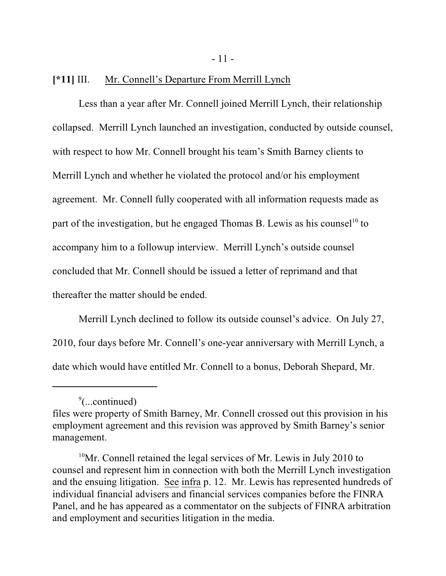- 11 -

## **[\*11]** III. Mr. Connell's Departure From Merrill Lynch

Less than a year after Mr. Connell joined Merrill Lynch, their relationship collapsed. Merrill Lynch launched an investigation, conducted by outside counsel, with respect to how Mr. Connell brought his team's Smith Barney clients to Merrill Lynch and whether he violated the protocol and/or his employment agreement. Mr. Connell fully cooperated with all information requests made as part of the investigation, but he engaged Thomas B. Lewis as his counsel<sup>10</sup> to accompany him to a followup interview. Merrill Lynch's outside counsel concluded that Mr. Connell should be issued a letter of reprimand and that thereafter the matter should be ended.

Merrill Lynch declined to follow its outside counsel's advice. On July 27, 2010, four days before Mr. Connell's one-year anniversary with Merrill Lynch, a date which would have entitled Mr. Connell to a bonus, Deborah Shepard, Mr.

<sup>&</sup>lt;sup>9</sup>(...continued)

files were property of Smith Barney, Mr. Connell crossed out this provision in his employment agreement and this revision was approved by Smith Barney's senior management.

 $10$ Mr. Connell retained the legal services of Mr. Lewis in July 2010 to counsel and represent him in connection with both the Merrill Lynch investigation and the ensuing litigation. See infra p. 12. Mr. Lewis has represented hundreds of individual financial advisers and financial services companies before the FINRA Panel, and he has appeared as a commentator on the subjects of FINRA arbitration and employment and securities litigation in the media.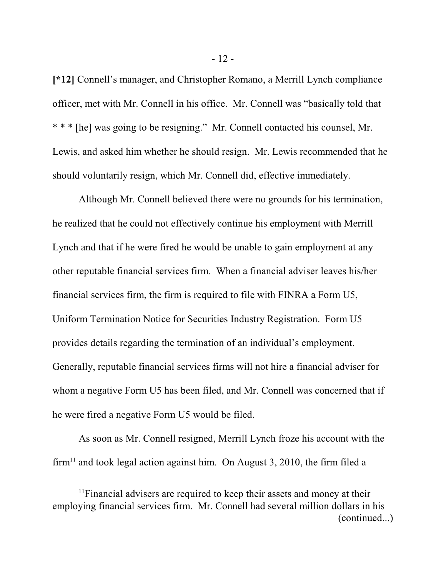**[\*12]** Connell's manager, and Christopher Romano, a Merrill Lynch compliance officer, met with Mr. Connell in his office. Mr. Connell was "basically told that \* \* \* [he] was going to be resigning." Mr. Connell contacted his counsel, Mr. Lewis, and asked him whether he should resign. Mr. Lewis recommended that he should voluntarily resign, which Mr. Connell did, effective immediately.

Although Mr. Connell believed there were no grounds for his termination, he realized that he could not effectively continue his employment with Merrill Lynch and that if he were fired he would be unable to gain employment at any other reputable financial services firm. When a financial adviser leaves his/her financial services firm, the firm is required to file with FINRA a Form U5, Uniform Termination Notice for Securities Industry Registration. Form U5 provides details regarding the termination of an individual's employment. Generally, reputable financial services firms will not hire a financial adviser for whom a negative Form U5 has been filed, and Mr. Connell was concerned that if he were fired a negative Form U5 would be filed.

As soon as Mr. Connell resigned, Merrill Lynch froze his account with the  $firm<sup>11</sup>$  and took legal action against him. On August 3, 2010, the firm filed a

 $11$ Financial advisers are required to keep their assets and money at their employing financial services firm. Mr. Connell had several million dollars in his (continued...)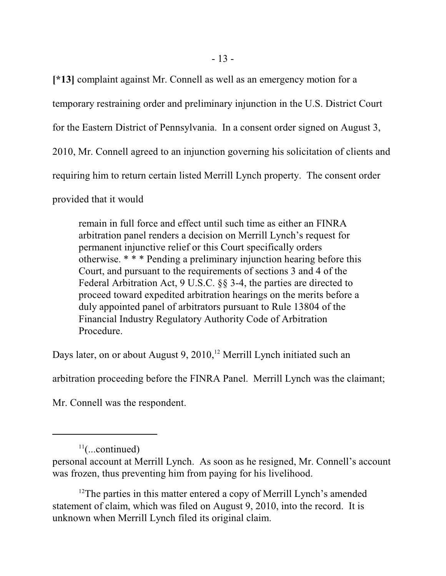**[\*13]** complaint against Mr. Connell as well as an emergency motion for a temporary restraining order and preliminary injunction in the U.S. District Court for the Eastern District of Pennsylvania. In a consent order signed on August 3, 2010, Mr. Connell agreed to an injunction governing his solicitation of clients and requiring him to return certain listed Merrill Lynch property. The consent order

provided that it would

remain in full force and effect until such time as either an FINRA arbitration panel renders a decision on Merrill Lynch's request for permanent injunctive relief or this Court specifically orders otherwise. \* \* \* Pending a preliminary injunction hearing before this Court, and pursuant to the requirements of sections 3 and 4 of the Federal Arbitration Act, 9 U.S.C. §§ 3-4, the parties are directed to proceed toward expedited arbitration hearings on the merits before a duly appointed panel of arbitrators pursuant to Rule 13804 of the Financial Industry Regulatory Authority Code of Arbitration Procedure.

Days later, on or about August 9, 2010,<sup>12</sup> Merrill Lynch initiated such an

arbitration proceeding before the FINRA Panel. Merrill Lynch was the claimant;

Mr. Connell was the respondent.

<sup>12</sup>The parties in this matter entered a copy of Merrill Lynch's amended statement of claim, which was filed on August 9, 2010, into the record. It is unknown when Merrill Lynch filed its original claim.

 $11$ (...continued)

personal account at Merrill Lynch. As soon as he resigned, Mr. Connell's account was frozen, thus preventing him from paying for his livelihood.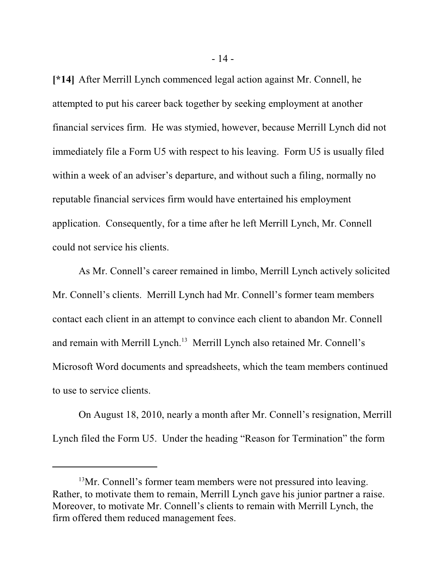**[\*14]** After Merrill Lynch commenced legal action against Mr. Connell, he attempted to put his career back together by seeking employment at another financial services firm. He was stymied, however, because Merrill Lynch did not immediately file a Form U5 with respect to his leaving. Form U5 is usually filed within a week of an adviser's departure, and without such a filing, normally no reputable financial services firm would have entertained his employment application. Consequently, for a time after he left Merrill Lynch, Mr. Connell could not service his clients.

As Mr. Connell's career remained in limbo, Merrill Lynch actively solicited Mr. Connell's clients. Merrill Lynch had Mr. Connell's former team members contact each client in an attempt to convince each client to abandon Mr. Connell and remain with Merrill Lynch. 13 Merrill Lynch also retained Mr. Connell's Microsoft Word documents and spreadsheets, which the team members continued to use to service clients.

On August 18, 2010, nearly a month after Mr. Connell's resignation, Merrill Lynch filed the Form U5. Under the heading "Reason for Termination" the form

<sup>&</sup>lt;sup>13</sup>Mr. Connell's former team members were not pressured into leaving. Rather, to motivate them to remain, Merrill Lynch gave his junior partner a raise. Moreover, to motivate Mr. Connell's clients to remain with Merrill Lynch, the firm offered them reduced management fees.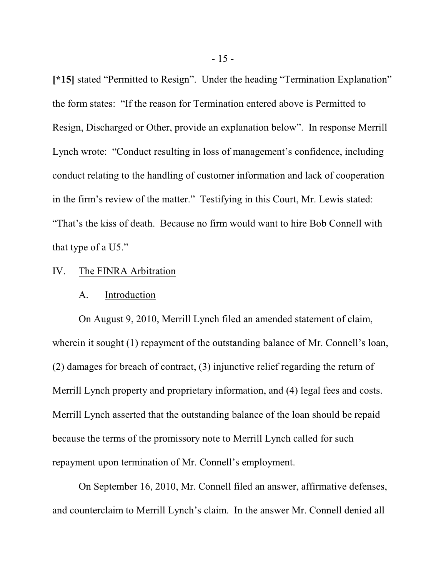**[\*15]** stated "Permitted to Resign". Under the heading "Termination Explanation" the form states: "If the reason for Termination entered above is Permitted to Resign, Discharged or Other, provide an explanation below". In response Merrill Lynch wrote: "Conduct resulting in loss of management's confidence, including conduct relating to the handling of customer information and lack of cooperation in the firm's review of the matter." Testifying in this Court, Mr. Lewis stated: "That's the kiss of death. Because no firm would want to hire Bob Connell with that type of a U5."

### IV. The FINRA Arbitration

### A. Introduction

On August 9, 2010, Merrill Lynch filed an amended statement of claim, wherein it sought (1) repayment of the outstanding balance of Mr. Connell's loan, (2) damages for breach of contract, (3) injunctive relief regarding the return of Merrill Lynch property and proprietary information, and (4) legal fees and costs. Merrill Lynch asserted that the outstanding balance of the loan should be repaid because the terms of the promissory note to Merrill Lynch called for such repayment upon termination of Mr. Connell's employment.

On September 16, 2010, Mr. Connell filed an answer, affirmative defenses, and counterclaim to Merrill Lynch's claim. In the answer Mr. Connell denied all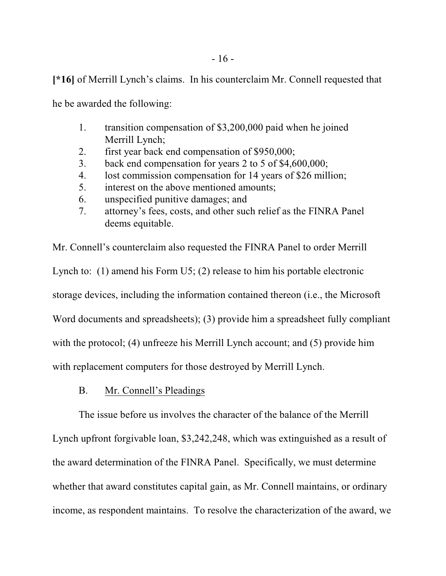**[\*16]** of Merrill Lynch's claims. In his counterclaim Mr. Connell requested that

he be awarded the following:

- 1. transition compensation of \$3,200,000 paid when he joined Merrill Lynch;
- 2. first year back end compensation of \$950,000;
- 3. back end compensation for years 2 to 5 of \$4,600,000;
- 4. lost commission compensation for 14 years of \$26 million;
- 5. interest on the above mentioned amounts;
- 6. unspecified punitive damages; and
- 7. attorney's fees, costs, and other such relief as the FINRA Panel deems equitable.

Mr. Connell's counterclaim also requested the FINRA Panel to order Merrill Lynch to: (1) amend his Form U5; (2) release to him his portable electronic storage devices, including the information contained thereon (i.e., the Microsoft Word documents and spreadsheets); (3) provide him a spreadsheet fully compliant with the protocol; (4) unfreeze his Merrill Lynch account; and (5) provide him with replacement computers for those destroyed by Merrill Lynch.

## B. Mr. Connell's Pleadings

The issue before us involves the character of the balance of the Merrill Lynch upfront forgivable loan, \$3,242,248, which was extinguished as a result of the award determination of the FINRA Panel. Specifically, we must determine whether that award constitutes capital gain, as Mr. Connell maintains, or ordinary income, as respondent maintains. To resolve the characterization of the award, we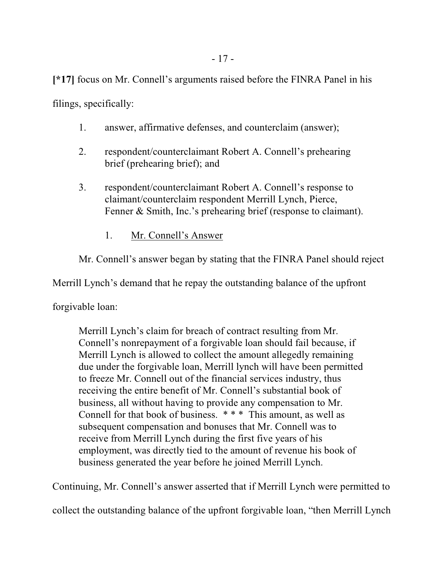**[\*17]** focus on Mr. Connell's arguments raised before the FINRA Panel in his

filings, specifically:

- 1. answer, affirmative defenses, and counterclaim (answer);
- 2. respondent/counterclaimant Robert A. Connell's prehearing brief (prehearing brief); and
- 3. respondent/counterclaimant Robert A. Connell's response to claimant/counterclaim respondent Merrill Lynch, Pierce, Fenner & Smith, Inc.'s prehearing brief (response to claimant).
	- 1. Mr. Connell's Answer

Mr. Connell's answer began by stating that the FINRA Panel should reject

Merrill Lynch's demand that he repay the outstanding balance of the upfront

forgivable loan:

Merrill Lynch's claim for breach of contract resulting from Mr. Connell's nonrepayment of a forgivable loan should fail because, if Merrill Lynch is allowed to collect the amount allegedly remaining due under the forgivable loan, Merrill lynch will have been permitted to freeze Mr. Connell out of the financial services industry, thus receiving the entire benefit of Mr. Connell's substantial book of business, all without having to provide any compensation to Mr. Connell for that book of business. \* \* \* This amount, as well as subsequent compensation and bonuses that Mr. Connell was to receive from Merrill Lynch during the first five years of his employment, was directly tied to the amount of revenue his book of business generated the year before he joined Merrill Lynch.

Continuing, Mr. Connell's answer asserted that if Merrill Lynch were permitted to

collect the outstanding balance of the upfront forgivable loan, "then Merrill Lynch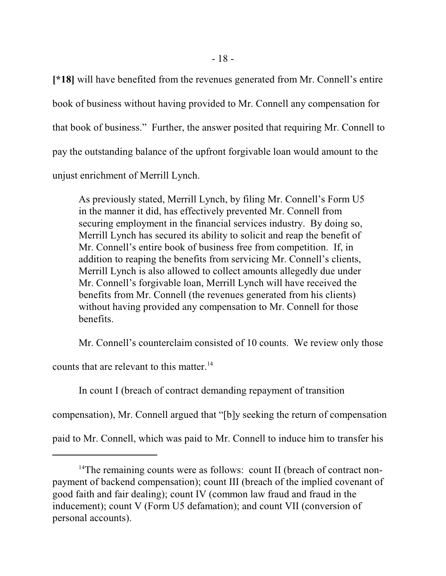**[\*18]** will have benefited from the revenues generated from Mr. Connell's entire book of business without having provided to Mr. Connell any compensation for that book of business." Further, the answer posited that requiring Mr. Connell to pay the outstanding balance of the upfront forgivable loan would amount to the unjust enrichment of Merrill Lynch.

As previously stated, Merrill Lynch, by filing Mr. Connell's Form U5 in the manner it did, has effectively prevented Mr. Connell from securing employment in the financial services industry. By doing so, Merrill Lynch has secured its ability to solicit and reap the benefit of Mr. Connell's entire book of business free from competition. If, in addition to reaping the benefits from servicing Mr. Connell's clients, Merrill Lynch is also allowed to collect amounts allegedly due under Mr. Connell's forgivable loan, Merrill Lynch will have received the benefits from Mr. Connell (the revenues generated from his clients) without having provided any compensation to Mr. Connell for those benefits.

Mr. Connell's counterclaim consisted of 10 counts. We review only those

counts that are relevant to this matter.<sup>14</sup>

In count I (breach of contract demanding repayment of transition

compensation), Mr. Connell argued that "[b]y seeking the return of compensation

paid to Mr. Connell, which was paid to Mr. Connell to induce him to transfer his

<sup>&</sup>lt;sup>14</sup>The remaining counts were as follows: count II (breach of contract nonpayment of backend compensation); count III (breach of the implied covenant of good faith and fair dealing); count IV (common law fraud and fraud in the inducement); count V (Form U5 defamation); and count VII (conversion of personal accounts).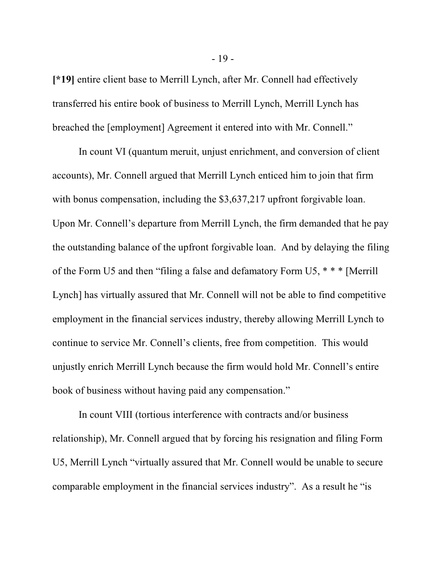**[\*19]** entire client base to Merrill Lynch, after Mr. Connell had effectively transferred his entire book of business to Merrill Lynch, Merrill Lynch has breached the [employment] Agreement it entered into with Mr. Connell."

In count VI (quantum meruit, unjust enrichment, and conversion of client accounts), Mr. Connell argued that Merrill Lynch enticed him to join that firm with bonus compensation, including the \$3,637,217 upfront forgivable loan. Upon Mr. Connell's departure from Merrill Lynch, the firm demanded that he pay the outstanding balance of the upfront forgivable loan. And by delaying the filing of the Form U5 and then "filing a false and defamatory Form U5, \* \* \* [Merrill Lynch] has virtually assured that Mr. Connell will not be able to find competitive employment in the financial services industry, thereby allowing Merrill Lynch to continue to service Mr. Connell's clients, free from competition. This would unjustly enrich Merrill Lynch because the firm would hold Mr. Connell's entire book of business without having paid any compensation."

In count VIII (tortious interference with contracts and/or business relationship), Mr. Connell argued that by forcing his resignation and filing Form U5, Merrill Lynch "virtually assured that Mr. Connell would be unable to secure comparable employment in the financial services industry". As a result he "is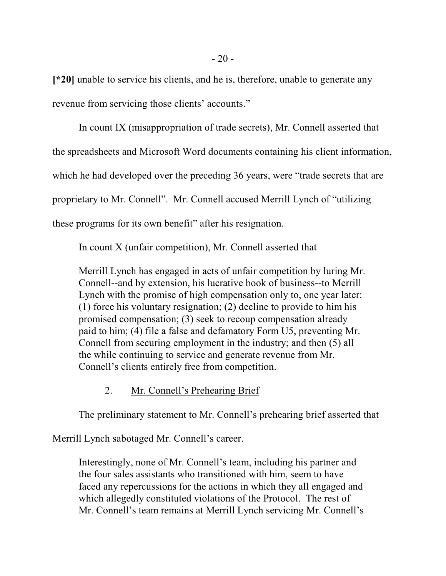**[\*20]** unable to service his clients, and he is, therefore, unable to generate any revenue from servicing those clients' accounts."

In count IX (misappropriation of trade secrets), Mr. Connell asserted that the spreadsheets and Microsoft Word documents containing his client information, which he had developed over the preceding 36 years, were "trade secrets that are proprietary to Mr. Connell". Mr. Connell accused Merrill Lynch of "utilizing these programs for its own benefit" after his resignation.

In count X (unfair competition), Mr. Connell asserted that

Merrill Lynch has engaged in acts of unfair competition by luring Mr. Connell--and by extension, his lucrative book of business--to Merrill Lynch with the promise of high compensation only to, one year later: (1) force his voluntary resignation; (2) decline to provide to him his promised compensation; (3) seek to recoup compensation already paid to him; (4) file a false and defamatory Form U5, preventing Mr. Connell from securing employment in the industry; and then (5) all the while continuing to service and generate revenue from Mr. Connell's clients entirely free from competition.

## 2. Mr. Connell's Prehearing Brief

The preliminary statement to Mr. Connell's prehearing brief asserted that

Merrill Lynch sabotaged Mr. Connell's career.

Interestingly, none of Mr. Connell's team, including his partner and the four sales assistants who transitioned with him, seem to have faced any repercussions for the actions in which they all engaged and which allegedly constituted violations of the Protocol. The rest of Mr. Connell's team remains at Merrill Lynch servicing Mr. Connell's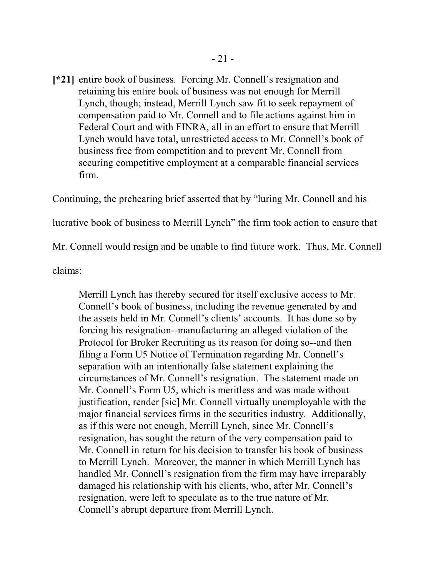[\*21] entire book of business. Forcing Mr. Connell's resignation and retaining his entire book of business was not enough for Merrill Lynch, though; instead, Merrill Lynch saw fit to seek repayment of compensation paid to Mr. Connell and to file actions against him in Federal Court and with FINRA, all in an effort to ensure that Merrill Lynch would have total, unrestricted access to Mr. Connell's book of business free from competition and to prevent Mr. Connell from securing competitive employment at a comparable financial services firm.

Continuing, the prehearing brief asserted that by "luring Mr. Connell and his lucrative book of business to Merrill Lynch" the firm took action to ensure that Mr. Connell would resign and be unable to find future work. Thus, Mr. Connell

claims:

Merrill Lynch has thereby secured for itself exclusive access to Mr. Connell's book of business, including the revenue generated by and the assets held in Mr. Connell's clients' accounts. It has done so by forcing his resignation--manufacturing an alleged violation of the Protocol for Broker Recruiting as its reason for doing so--and then filing a Form U5 Notice of Termination regarding Mr. Connell's separation with an intentionally false statement explaining the circumstances of Mr. Connell's resignation. The statement made on Mr. Connell's Form U5, which is meritless and was made without justification, render [sic] Mr. Connell virtually unemployable with the major financial services firms in the securities industry. Additionally, as if this were not enough, Merrill Lynch, since Mr. Connell's resignation, has sought the return of the very compensation paid to Mr. Connell in return for his decision to transfer his book of business to Merrill Lynch. Moreover, the manner in which Merrill Lynch has handled Mr. Connell's resignation from the firm may have irreparably damaged his relationship with his clients, who, after Mr. Connell's resignation, were left to speculate as to the true nature of Mr. Connell's abrupt departure from Merrill Lynch.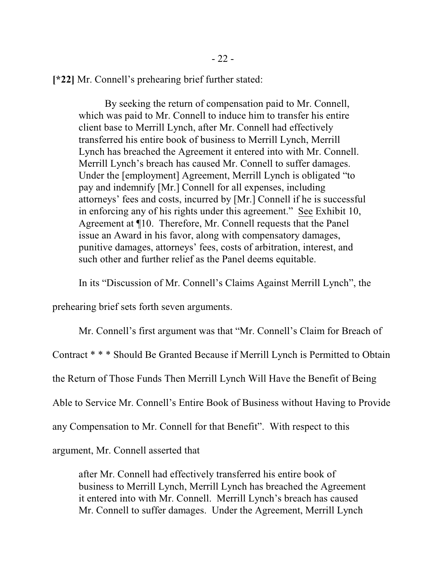**[\*22]** Mr. Connell's prehearing brief further stated:

By seeking the return of compensation paid to Mr. Connell, which was paid to Mr. Connell to induce him to transfer his entire client base to Merrill Lynch, after Mr. Connell had effectively transferred his entire book of business to Merrill Lynch, Merrill Lynch has breached the Agreement it entered into with Mr. Connell. Merrill Lynch's breach has caused Mr. Connell to suffer damages. Under the [employment] Agreement, Merrill Lynch is obligated "to pay and indemnify [Mr.] Connell for all expenses, including attorneys' fees and costs, incurred by [Mr.] Connell if he is successful in enforcing any of his rights under this agreement." See Exhibit 10, Agreement at ¶10. Therefore, Mr. Connell requests that the Panel issue an Award in his favor, along with compensatory damages, punitive damages, attorneys' fees, costs of arbitration, interest, and such other and further relief as the Panel deems equitable.

In its "Discussion of Mr. Connell's Claims Against Merrill Lynch", the

prehearing brief sets forth seven arguments.

Mr. Connell's first argument was that "Mr. Connell's Claim for Breach of Contract \* \* \* Should Be Granted Because if Merrill Lynch is Permitted to Obtain the Return of Those Funds Then Merrill Lynch Will Have the Benefit of Being Able to Service Mr. Connell's Entire Book of Business without Having to Provide any Compensation to Mr. Connell for that Benefit". With respect to this argument, Mr. Connell asserted that

after Mr. Connell had effectively transferred his entire book of business to Merrill Lynch, Merrill Lynch has breached the Agreement it entered into with Mr. Connell. Merrill Lynch's breach has caused Mr. Connell to suffer damages. Under the Agreement, Merrill Lynch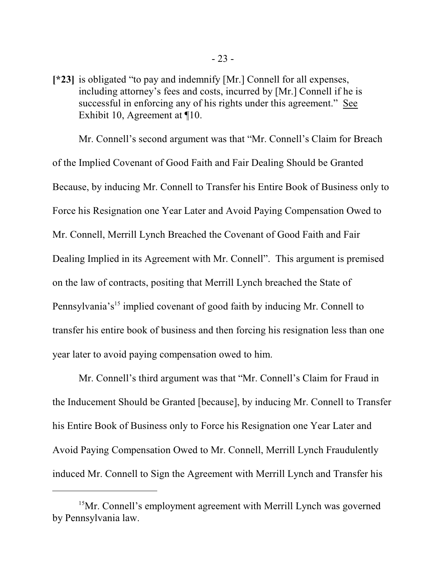[\*23] is obligated "to pay and indemnify [Mr.] Connell for all expenses, including attorney's fees and costs, incurred by [Mr.] Connell if he is successful in enforcing any of his rights under this agreement." See Exhibit 10, Agreement at ¶10.

Mr. Connell's second argument was that "Mr. Connell's Claim for Breach of the Implied Covenant of Good Faith and Fair Dealing Should be Granted Because, by inducing Mr. Connell to Transfer his Entire Book of Business only to Force his Resignation one Year Later and Avoid Paying Compensation Owed to Mr. Connell, Merrill Lynch Breached the Covenant of Good Faith and Fair Dealing Implied in its Agreement with Mr. Connell". This argument is premised on the law of contracts, positing that Merrill Lynch breached the State of Pennsylvania's<sup>15</sup> implied covenant of good faith by inducing Mr. Connell to transfer his entire book of business and then forcing his resignation less than one year later to avoid paying compensation owed to him.

Mr. Connell's third argument was that "Mr. Connell's Claim for Fraud in the Inducement Should be Granted [because], by inducing Mr. Connell to Transfer his Entire Book of Business only to Force his Resignation one Year Later and Avoid Paying Compensation Owed to Mr. Connell, Merrill Lynch Fraudulently induced Mr. Connell to Sign the Agreement with Merrill Lynch and Transfer his

<sup>&</sup>lt;sup>15</sup>Mr. Connell's employment agreement with Merrill Lynch was governed by Pennsylvania law.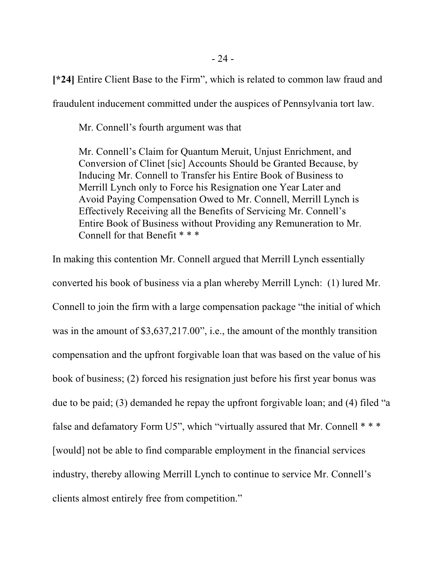**[\*24]** Entire Client Base to the Firm", which is related to common law fraud and

fraudulent inducement committed under the auspices of Pennsylvania tort law.

Mr. Connell's fourth argument was that

Mr. Connell's Claim for Quantum Meruit, Unjust Enrichment, and Conversion of Clinet [sic] Accounts Should be Granted Because, by Inducing Mr. Connell to Transfer his Entire Book of Business to Merrill Lynch only to Force his Resignation one Year Later and Avoid Paying Compensation Owed to Mr. Connell, Merrill Lynch is Effectively Receiving all the Benefits of Servicing Mr. Connell's Entire Book of Business without Providing any Remuneration to Mr. Connell for that Benefit \* \* \*

In making this contention Mr. Connell argued that Merrill Lynch essentially converted his book of business via a plan whereby Merrill Lynch: (1) lured Mr. Connell to join the firm with a large compensation package "the initial of which was in the amount of \$3,637,217.00", i.e., the amount of the monthly transition compensation and the upfront forgivable loan that was based on the value of his book of business; (2) forced his resignation just before his first year bonus was due to be paid; (3) demanded he repay the upfront forgivable loan; and (4) filed "a false and defamatory Form U5", which "virtually assured that Mr. Connell \* \* \* [would] not be able to find comparable employment in the financial services industry, thereby allowing Merrill Lynch to continue to service Mr. Connell's clients almost entirely free from competition."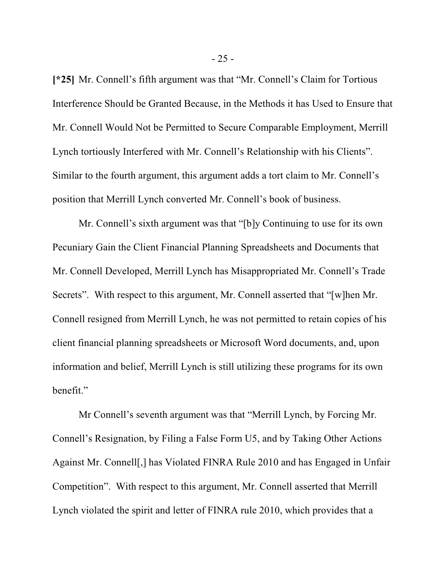**[\*25]** Mr. Connell's fifth argument was that "Mr. Connell's Claim for Tortious Interference Should be Granted Because, in the Methods it has Used to Ensure that Mr. Connell Would Not be Permitted to Secure Comparable Employment, Merrill Lynch tortiously Interfered with Mr. Connell's Relationship with his Clients". Similar to the fourth argument, this argument adds a tort claim to Mr. Connell's position that Merrill Lynch converted Mr. Connell's book of business.

Mr. Connell's sixth argument was that "[b]y Continuing to use for its own Pecuniary Gain the Client Financial Planning Spreadsheets and Documents that Mr. Connell Developed, Merrill Lynch has Misappropriated Mr. Connell's Trade Secrets". With respect to this argument, Mr. Connell asserted that "[w]hen Mr. Connell resigned from Merrill Lynch, he was not permitted to retain copies of his client financial planning spreadsheets or Microsoft Word documents, and, upon information and belief, Merrill Lynch is still utilizing these programs for its own benefit."

Mr Connell's seventh argument was that "Merrill Lynch, by Forcing Mr. Connell's Resignation, by Filing a False Form U5, and by Taking Other Actions Against Mr. Connell[,] has Violated FINRA Rule 2010 and has Engaged in Unfair Competition". With respect to this argument, Mr. Connell asserted that Merrill Lynch violated the spirit and letter of FINRA rule 2010, which provides that a

- 25 -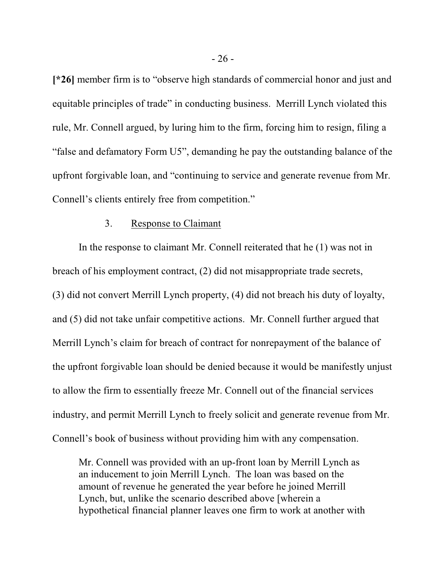**[\*26]** member firm is to "observe high standards of commercial honor and just and equitable principles of trade" in conducting business. Merrill Lynch violated this rule, Mr. Connell argued, by luring him to the firm, forcing him to resign, filing a "false and defamatory Form U5", demanding he pay the outstanding balance of the upfront forgivable loan, and "continuing to service and generate revenue from Mr. Connell's clients entirely free from competition."

## 3. Response to Claimant

In the response to claimant Mr. Connell reiterated that he (1) was not in breach of his employment contract, (2) did not misappropriate trade secrets, (3) did not convert Merrill Lynch property, (4) did not breach his duty of loyalty, and (5) did not take unfair competitive actions. Mr. Connell further argued that Merrill Lynch's claim for breach of contract for nonrepayment of the balance of the upfront forgivable loan should be denied because it would be manifestly unjust to allow the firm to essentially freeze Mr. Connell out of the financial services industry, and permit Merrill Lynch to freely solicit and generate revenue from Mr. Connell's book of business without providing him with any compensation.

Mr. Connell was provided with an up-front loan by Merrill Lynch as an inducement to join Merrill Lynch. The loan was based on the amount of revenue he generated the year before he joined Merrill Lynch, but, unlike the scenario described above [wherein a hypothetical financial planner leaves one firm to work at another with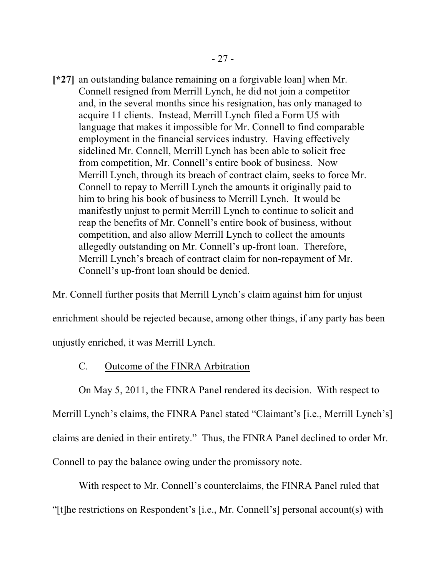[\*27] an outstanding balance remaining on a forgivable loan] when Mr. Connell resigned from Merrill Lynch, he did not join a competitor and, in the several months since his resignation, has only managed to acquire 11 clients. Instead, Merrill Lynch filed a Form U5 with language that makes it impossible for Mr. Connell to find comparable employment in the financial services industry. Having effectively sidelined Mr. Connell, Merrill Lynch has been able to solicit free from competition, Mr. Connell's entire book of business. Now Merrill Lynch, through its breach of contract claim, seeks to force Mr. Connell to repay to Merrill Lynch the amounts it originally paid to him to bring his book of business to Merrill Lynch. It would be manifestly unjust to permit Merrill Lynch to continue to solicit and reap the benefits of Mr. Connell's entire book of business, without competition, and also allow Merrill Lynch to collect the amounts allegedly outstanding on Mr. Connell's up-front loan. Therefore, Merrill Lynch's breach of contract claim for non-repayment of Mr. Connell's up-front loan should be denied.

Mr. Connell further posits that Merrill Lynch's claim against him for unjust enrichment should be rejected because, among other things, if any party has been unjustly enriched, it was Merrill Lynch.

### C. Outcome of the FINRA Arbitration

On May 5, 2011, the FINRA Panel rendered its decision. With respect to

Merrill Lynch's claims, the FINRA Panel stated "Claimant's [i.e., Merrill Lynch's] claims are denied in their entirety." Thus, the FINRA Panel declined to order Mr. Connell to pay the balance owing under the promissory note.

With respect to Mr. Connell's counterclaims, the FINRA Panel ruled that "[t]he restrictions on Respondent's [i.e., Mr. Connell's] personal account(s) with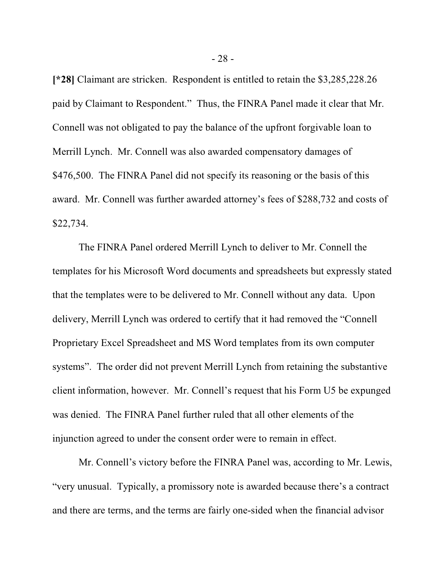**[\*28]** Claimant are stricken. Respondent is entitled to retain the \$3,285,228.26 paid by Claimant to Respondent." Thus, the FINRA Panel made it clear that Mr. Connell was not obligated to pay the balance of the upfront forgivable loan to Merrill Lynch. Mr. Connell was also awarded compensatory damages of \$476,500. The FINRA Panel did not specify its reasoning or the basis of this award. Mr. Connell was further awarded attorney's fees of \$288,732 and costs of \$22,734.

The FINRA Panel ordered Merrill Lynch to deliver to Mr. Connell the templates for his Microsoft Word documents and spreadsheets but expressly stated that the templates were to be delivered to Mr. Connell without any data. Upon delivery, Merrill Lynch was ordered to certify that it had removed the "Connell Proprietary Excel Spreadsheet and MS Word templates from its own computer systems". The order did not prevent Merrill Lynch from retaining the substantive client information, however. Mr. Connell's request that his Form U5 be expunged was denied. The FINRA Panel further ruled that all other elements of the injunction agreed to under the consent order were to remain in effect.

Mr. Connell's victory before the FINRA Panel was, according to Mr. Lewis, "very unusual. Typically, a promissory note is awarded because there's a contract and there are terms, and the terms are fairly one-sided when the financial advisor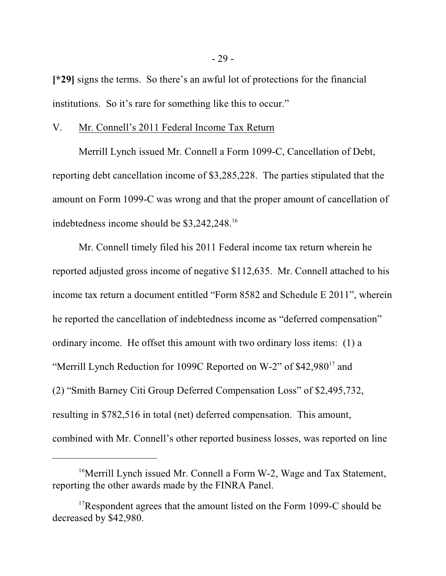**[\*29]** signs the terms. So there's an awful lot of protections for the financial institutions. So it's rare for something like this to occur."

#### V. Mr. Connell's 2011 Federal Income Tax Return

Merrill Lynch issued Mr. Connell a Form 1099-C, Cancellation of Debt, reporting debt cancellation income of \$3,285,228. The parties stipulated that the amount on Form 1099-C was wrong and that the proper amount of cancellation of indebtedness income should be \$3,242,248.<sup>16</sup>

Mr. Connell timely filed his 2011 Federal income tax return wherein he reported adjusted gross income of negative \$112,635. Mr. Connell attached to his income tax return a document entitled "Form 8582 and Schedule E 2011", wherein he reported the cancellation of indebtedness income as "deferred compensation" ordinary income. He offset this amount with two ordinary loss items: (1) a "Merrill Lynch Reduction for 1099C Reported on W-2" of \$42,980<sup>17</sup> and (2) "Smith Barney Citi Group Deferred Compensation Loss" of \$2,495,732, resulting in \$782,516 in total (net) deferred compensation. This amount, combined with Mr. Connell's other reported business losses, was reported on line

<sup>&</sup>lt;sup>16</sup>Merrill Lynch issued Mr. Connell a Form W-2, Wage and Tax Statement, reporting the other awards made by the FINRA Panel.

<sup>&</sup>lt;sup>17</sup>Respondent agrees that the amount listed on the Form 1099-C should be decreased by \$42,980.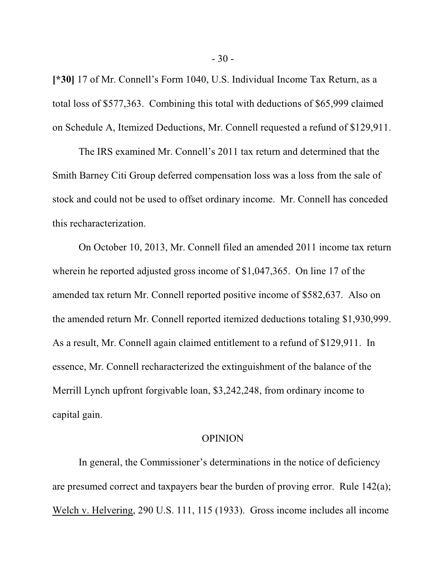**[\*30]** 17 of Mr. Connell's Form 1040, U.S. Individual Income Tax Return, as a total loss of \$577,363. Combining this total with deductions of \$65,999 claimed on Schedule A, Itemized Deductions, Mr. Connell requested a refund of \$129,911.

The IRS examined Mr. Connell's 2011 tax return and determined that the Smith Barney Citi Group deferred compensation loss was a loss from the sale of stock and could not be used to offset ordinary income. Mr. Connell has conceded this recharacterization.

On October 10, 2013, Mr. Connell filed an amended 2011 income tax return wherein he reported adjusted gross income of \$1,047,365. On line 17 of the amended tax return Mr. Connell reported positive income of \$582,637. Also on the amended return Mr. Connell reported itemized deductions totaling \$1,930,999. As a result, Mr. Connell again claimed entitlement to a refund of \$129,911. In essence, Mr. Connell recharacterized the extinguishment of the balance of the Merrill Lynch upfront forgivable loan, \$3,242,248, from ordinary income to capital gain.

### OPINION

In general, the Commissioner's determinations in the notice of deficiency are presumed correct and taxpayers bear the burden of proving error. Rule 142(a); Welch v. Helvering, 290 U.S. 111, 115 (1933). Gross income includes all income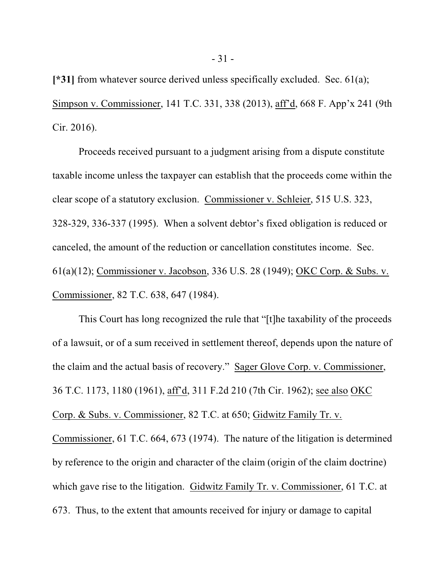**[\*31]** from whatever source derived unless specifically excluded. Sec. 61(a); Simpson v. Commissioner, 141 T.C. 331, 338 (2013), aff'd, 668 F. App'x 241 (9th Cir. 2016).

Proceeds received pursuant to a judgment arising from a dispute constitute taxable income unless the taxpayer can establish that the proceeds come within the clear scope of a statutory exclusion. Commissioner v. Schleier, 515 U.S. 323, 328-329, 336-337 (1995). When a solvent debtor's fixed obligation is reduced or canceled, the amount of the reduction or cancellation constitutes income. Sec. 61(a)(12); Commissioner v. Jacobson, 336 U.S. 28 (1949); OKC Corp. & Subs. v. Commissioner, 82 T.C. 638, 647 (1984).

This Court has long recognized the rule that "[t]he taxability of the proceeds of a lawsuit, or of a sum received in settlement thereof, depends upon the nature of the claim and the actual basis of recovery." Sager Glove Corp. v. Commissioner, 36 T.C. 1173, 1180 (1961), aff'd, 311 F.2d 210 (7th Cir. 1962); see also OKC Corp. & Subs. v. Commissioner, 82 T.C. at 650; Gidwitz Family Tr. v. Commissioner, 61 T.C. 664, 673 (1974). The nature of the litigation is determined by reference to the origin and character of the claim (origin of the claim doctrine) which gave rise to the litigation. Gidwitz Family Tr. v. Commissioner, 61 T.C. at 673. Thus, to the extent that amounts received for injury or damage to capital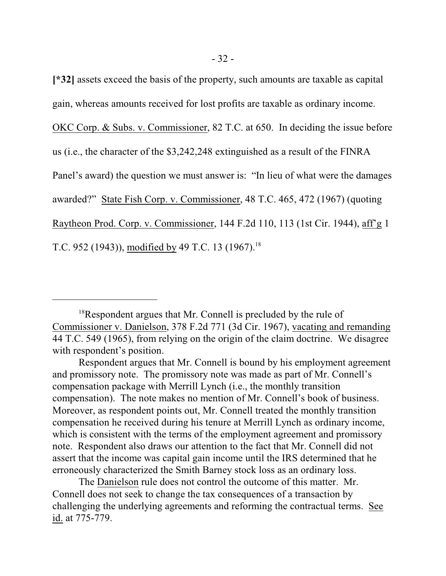**[\*32]** assets exceed the basis of the property, such amounts are taxable as capital gain, whereas amounts received for lost profits are taxable as ordinary income.

OKC Corp. & Subs. v. Commissioner, 82 T.C. at 650. In deciding the issue before

us (i.e., the character of the \$3,242,248 extinguished as a result of the FINRA

Panel's award) the question we must answer is: "In lieu of what were the damages

awarded?" State Fish Corp. v. Commissioner, 48 T.C. 465, 472 (1967) (quoting

Raytheon Prod. Corp. v. Commissioner, 144 F.2d 110, 113 (1st Cir. 1944), aff'g 1

T.C. 952 (1943)), modified by 49 T.C. 13 (1967).<sup>18</sup>

The Danielson rule does not control the outcome of this matter. Mr. Connell does not seek to change the tax consequences of a transaction by challenging the underlying agreements and reforming the contractual terms. See id. at 775-779.

<sup>&</sup>lt;sup>18</sup>Respondent argues that Mr. Connell is precluded by the rule of Commissioner v. Danielson, 378 F.2d 771 (3d Cir. 1967), vacating and remanding 44 T.C. 549 (1965), from relying on the origin of the claim doctrine. We disagree with respondent's position.

Respondent argues that Mr. Connell is bound by his employment agreement and promissory note. The promissory note was made as part of Mr. Connell's compensation package with Merrill Lynch (i.e., the monthly transition compensation). The note makes no mention of Mr. Connell's book of business. Moreover, as respondent points out, Mr. Connell treated the monthly transition compensation he received during his tenure at Merrill Lynch as ordinary income, which is consistent with the terms of the employment agreement and promissory note. Respondent also draws our attention to the fact that Mr. Connell did not assert that the income was capital gain income until the IRS determined that he erroneously characterized the Smith Barney stock loss as an ordinary loss.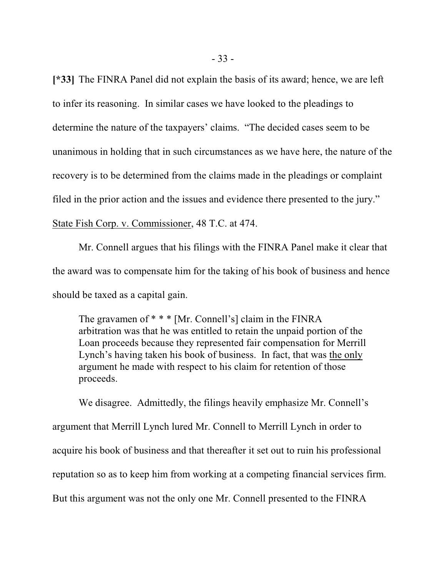**[\*33]** The FINRA Panel did not explain the basis of its award; hence, we are left to infer its reasoning. In similar cases we have looked to the pleadings to determine the nature of the taxpayers' claims. "The decided cases seem to be unanimous in holding that in such circumstances as we have here, the nature of the recovery is to be determined from the claims made in the pleadings or complaint filed in the prior action and the issues and evidence there presented to the jury." State Fish Corp. v. Commissioner, 48 T.C. at 474.

Mr. Connell argues that his filings with the FINRA Panel make it clear that the award was to compensate him for the taking of his book of business and hence should be taxed as a capital gain.

The gravamen of \* \* \* [Mr. Connell's] claim in the FINRA arbitration was that he was entitled to retain the unpaid portion of the Loan proceeds because they represented fair compensation for Merrill Lynch's having taken his book of business. In fact, that was the only argument he made with respect to his claim for retention of those proceeds.

We disagree. Admittedly, the filings heavily emphasize Mr. Connell's argument that Merrill Lynch lured Mr. Connell to Merrill Lynch in order to acquire his book of business and that thereafter it set out to ruin his professional reputation so as to keep him from working at a competing financial services firm. But this argument was not the only one Mr. Connell presented to the FINRA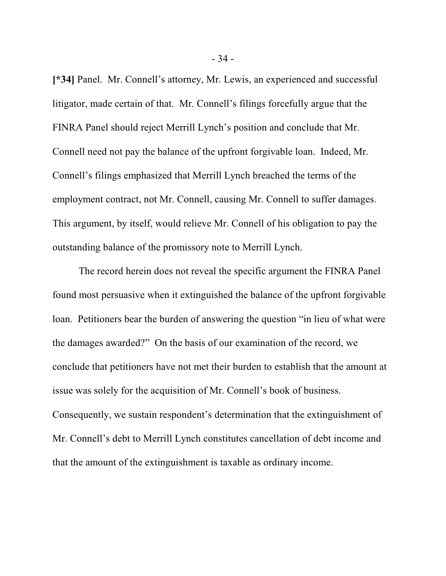**[\*34]** Panel. Mr. Connell's attorney, Mr. Lewis, an experienced and successful litigator, made certain of that. Mr. Connell's filings forcefully argue that the FINRA Panel should reject Merrill Lynch's position and conclude that Mr. Connell need not pay the balance of the upfront forgivable loan. Indeed, Mr. Connell's filings emphasized that Merrill Lynch breached the terms of the employment contract, not Mr. Connell, causing Mr. Connell to suffer damages. This argument, by itself, would relieve Mr. Connell of his obligation to pay the outstanding balance of the promissory note to Merrill Lynch.

The record herein does not reveal the specific argument the FINRA Panel found most persuasive when it extinguished the balance of the upfront forgivable loan. Petitioners bear the burden of answering the question "in lieu of what were the damages awarded?" On the basis of our examination of the record, we conclude that petitioners have not met their burden to establish that the amount at issue was solely for the acquisition of Mr. Connell's book of business. Consequently, we sustain respondent's determination that the extinguishment of Mr. Connell's debt to Merrill Lynch constitutes cancellation of debt income and that the amount of the extinguishment is taxable as ordinary income.

- 34 -